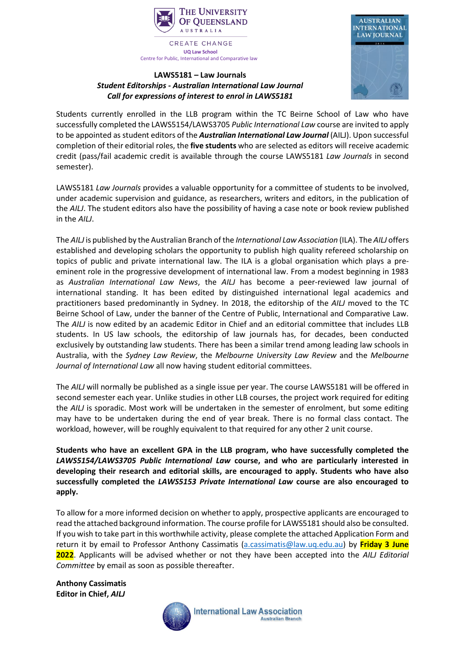

**CREATE CHANGE UQ Law School** Centre for Public, International and Comparative law

## **LAWS5181 – Law Journals** *Student Editorships - Australian International Law Journal Call for expressions of interest to enrol in LAWS5181*



Students currently enrolled in the LLB program within the TC Beirne School of Law who have successfully completed the LAWS5154/LAWS3705 *Public International Law* course are invited to apply to be appointed as student editors of the *Australian International Law Journal* (AILJ). Upon successful completion of their editorial roles, the **five students** who are selected as editors will receive academic credit (pass/fail academic credit is available through the course LAWS5181 *Law Journals* in second semester).

LAWS5181 *Law Journals* provides a valuable opportunity for a committee of students to be involved, under academic supervision and guidance, as researchers, writers and editors, in the publication of the *AILJ*. The student editors also have the possibility of having a case note or book review published in the *AILJ*.

The *AILJ* is published by the Australian Branch of the *International Law Association* (ILA). The *AILJ* offers established and developing scholars the opportunity to publish high quality refereed scholarship on topics of public and private international law. The ILA is a global organisation which plays a preeminent role in the progressive development of international law. From a modest beginning in 1983 as *Australian International Law News*, the *AILJ* has become a peer-reviewed law journal of international standing. It has been edited by distinguished international legal academics and practitioners based predominantly in Sydney. In 2018, the editorship of the *AILJ* moved to the TC Beirne School of Law, under the banner of the Centre of Public, International and Comparative Law. The *AILJ* is now edited by an academic Editor in Chief and an editorial committee that includes LLB students. In US law schools, the editorship of law journals has, for decades, been conducted exclusively by outstanding law students. There has been a similar trend among leading law schools in Australia, with the *Sydney Law Review*, the *Melbourne University Law Review* and the *Melbourne Journal of International Law* all now having student editorial committees.

The *AILJ* will normally be published as a single issue per year. The course LAWS5181 will be offered in second semester each year. Unlike studies in other LLB courses, the project work required for editing the *AILJ* is sporadic. Most work will be undertaken in the semester of enrolment, but some editing may have to be undertaken during the end of year break. There is no formal class contact. The workload, however, will be roughly equivalent to that required for any other 2 unit course.

**Students who have an excellent GPA in the LLB program, who have successfully completed the**  *LAWS5154/LAWS3705 Public International Law* **course, and who are particularly interested in developing their research and editorial skills, are encouraged to apply. Students who have also successfully completed the** *LAWS5153 Private International Law* **course are also encouraged to apply.**

To allow for a more informed decision on whether to apply, prospective applicants are encouraged to read the attached background information. The course profile for LAWS5181 should also be consulted. If you wish to take part in this worthwhile activity, please complete the attached Application Form and return it by email to Professor Anthony Cassimatis [\(a.cassimatis@law.uq.edu.au\)](mailto:a.cassimatis@law.uq.edu.au) by **Friday 3 June 2022**. Applicants will be advised whether or not they have been accepted into the *AILJ Editorial Committee* by email as soon as possible thereafter.

**Anthony Cassimatis Editor in Chief,** *AILJ*

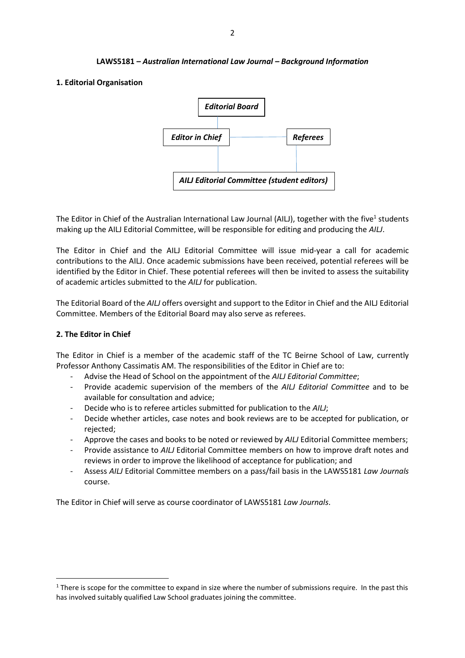#### **LAWS5181 –** *Australian International Law Journal – Background Information*

## **1. Editorial Organisation**



The Editor in Chief of the Australian International Law Journal (AILJ), together with the five<sup>1</sup> students making up the AILJ Editorial Committee, will be responsible for editing and producing the *AILJ*.

The Editor in Chief and the AILJ Editorial Committee will issue mid-year a call for academic contributions to the AILJ. Once academic submissions have been received, potential referees will be identified by the Editor in Chief. These potential referees will then be invited to assess the suitability of academic articles submitted to the *AILJ* for publication.

The Editorial Board of the *AILJ* offers oversight and support to the Editor in Chief and the AILJ Editorial Committee. Members of the Editorial Board may also serve as referees.

#### **2. The Editor in Chief**

The Editor in Chief is a member of the academic staff of the TC Beirne School of Law, currently Professor Anthony Cassimatis AM. The responsibilities of the Editor in Chief are to:

- Advise the Head of School on the appointment of the *AILJ Editorial Committee*;
- Provide academic supervision of the members of the *AILJ Editorial Committee* and to be available for consultation and advice;
- Decide who is to referee articles submitted for publication to the *AILJ*;
- Decide whether articles, case notes and book reviews are to be accepted for publication, or rejected;
- Approve the cases and books to be noted or reviewed by *AILJ* Editorial Committee members;
- Provide assistance to *AILJ* Editorial Committee members on how to improve draft notes and reviews in order to improve the likelihood of acceptance for publication; and
- Assess *AILJ* Editorial Committee members on a pass/fail basis in the LAWS5181 *Law Journals* course.

The Editor in Chief will serve as course coordinator of LAWS5181 *Law Journals*.

 $1$  There is scope for the committee to expand in size where the number of submissions require. In the past this has involved suitably qualified Law School graduates joining the committee.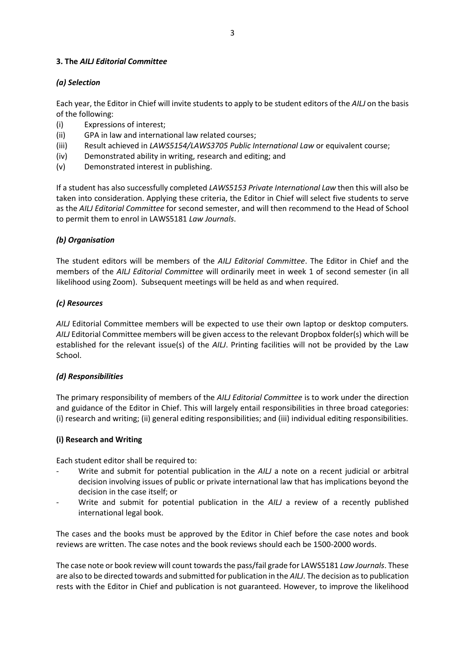## **3. The** *AILJ Editorial Committee*

## *(a) Selection*

Each year, the Editor in Chief will invite students to apply to be student editors of the *AILJ* on the basis of the following:

- (i) Expressions of interest;
- (ii) GPA in law and international law related courses;
- (iii) Result achieved in *LAWS5154/LAWS3705 Public International Law* or equivalent course;
- (iv) Demonstrated ability in writing, research and editing; and
- (v) Demonstrated interest in publishing.

If a student has also successfully completed *LAWS5153 Private International Law* then this will also be taken into consideration. Applying these criteria, the Editor in Chief will select five students to serve as the *AILJ Editorial Committee* for second semester, and will then recommend to the Head of School to permit them to enrol in LAWS5181 *Law Journals*.

## *(b) Organisation*

The student editors will be members of the *AILJ Editorial Committee*. The Editor in Chief and the members of the *AILJ Editorial Committee* will ordinarily meet in week 1 of second semester (in all likelihood using Zoom). Subsequent meetings will be held as and when required.

## *(c) Resources*

*AILJ* Editorial Committee members will be expected to use their own laptop or desktop computers*. AILJ* Editorial Committee members will be given access to the relevant Dropbox folder(s) which will be established for the relevant issue(s) of the *AILJ*. Printing facilities will not be provided by the Law School.

## *(d) Responsibilities*

The primary responsibility of members of the *AILJ Editorial Committee* is to work under the direction and guidance of the Editor in Chief. This will largely entail responsibilities in three broad categories: (i) research and writing; (ii) general editing responsibilities; and (iii) individual editing responsibilities.

## **(i) Research and Writing**

Each student editor shall be required to:

- Write and submit for potential publication in the *AILJ* a note on a recent judicial or arbitral decision involving issues of public or private international law that has implications beyond the decision in the case itself; or
- Write and submit for potential publication in the *AILJ* a review of a recently published international legal book.

The cases and the books must be approved by the Editor in Chief before the case notes and book reviews are written. The case notes and the book reviews should each be 1500-2000 words.

The case note or book review will count towards the pass/fail grade for LAWS5181 *Law Journals*. These are also to be directed towards and submitted for publication in the *AILJ*. The decision as to publication rests with the Editor in Chief and publication is not guaranteed. However, to improve the likelihood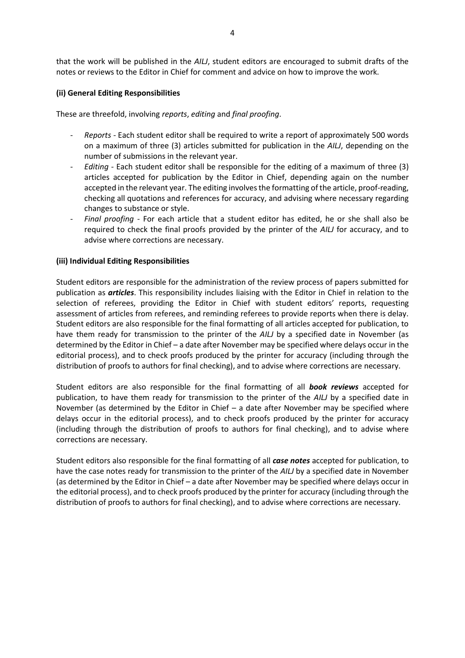that the work will be published in the *AILJ*, student editors are encouraged to submit drafts of the notes or reviews to the Editor in Chief for comment and advice on how to improve the work.

## **(ii) General Editing Responsibilities**

These are threefold, involving *reports*, *editing* and *final proofing*.

- *Reports -* Each student editor shall be required to write a report of approximately 500 words on a maximum of three (3) articles submitted for publication in the *AILJ*, depending on the number of submissions in the relevant year.
- *Editing -* Each student editor shall be responsible for the editing of a maximum of three (3) articles accepted for publication by the Editor in Chief, depending again on the number accepted in the relevant year. The editing involves the formatting of the article, proof-reading, checking all quotations and references for accuracy, and advising where necessary regarding changes to substance or style.
- *Final proofing -* For each article that a student editor has edited, he or she shall also be required to check the final proofs provided by the printer of the *AILJ* for accuracy, and to advise where corrections are necessary.

#### **(iii) Individual Editing Responsibilities**

Student editors are responsible for the administration of the review process of papers submitted for publication as *articles*. This responsibility includes liaising with the Editor in Chief in relation to the selection of referees, providing the Editor in Chief with student editors' reports, requesting assessment of articles from referees, and reminding referees to provide reports when there is delay. Student editors are also responsible for the final formatting of all articles accepted for publication, to have them ready for transmission to the printer of the *AILJ* by a specified date in November (as determined by the Editor in Chief – a date after November may be specified where delays occur in the editorial process), and to check proofs produced by the printer for accuracy (including through the distribution of proofs to authors for final checking), and to advise where corrections are necessary.

Student editors are also responsible for the final formatting of all *book reviews* accepted for publication, to have them ready for transmission to the printer of the *AILJ* by a specified date in November (as determined by the Editor in Chief – a date after November may be specified where delays occur in the editorial process), and to check proofs produced by the printer for accuracy (including through the distribution of proofs to authors for final checking), and to advise where corrections are necessary.

Student editors also responsible for the final formatting of all *case notes* accepted for publication, to have the case notes ready for transmission to the printer of the *AILJ* by a specified date in November (as determined by the Editor in Chief – a date after November may be specified where delays occur in the editorial process), and to check proofs produced by the printer for accuracy (including through the distribution of proofs to authors for final checking), and to advise where corrections are necessary.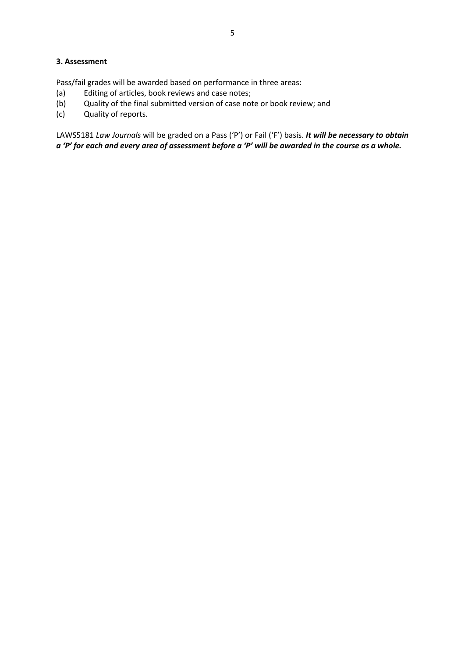## **3. Assessment**

Pass/fail grades will be awarded based on performance in three areas:

- (a) Editing of articles, book reviews and case notes;
- (b) Quality of the final submitted version of case note or book review; and
- (c) Quality of reports.

LAWS5181 *Law Journals* will be graded on a Pass ('P') or Fail ('F') basis. *It will be necessary to obtain a 'P' for each and every area of assessment before a 'P' will be awarded in the course as a whole.*